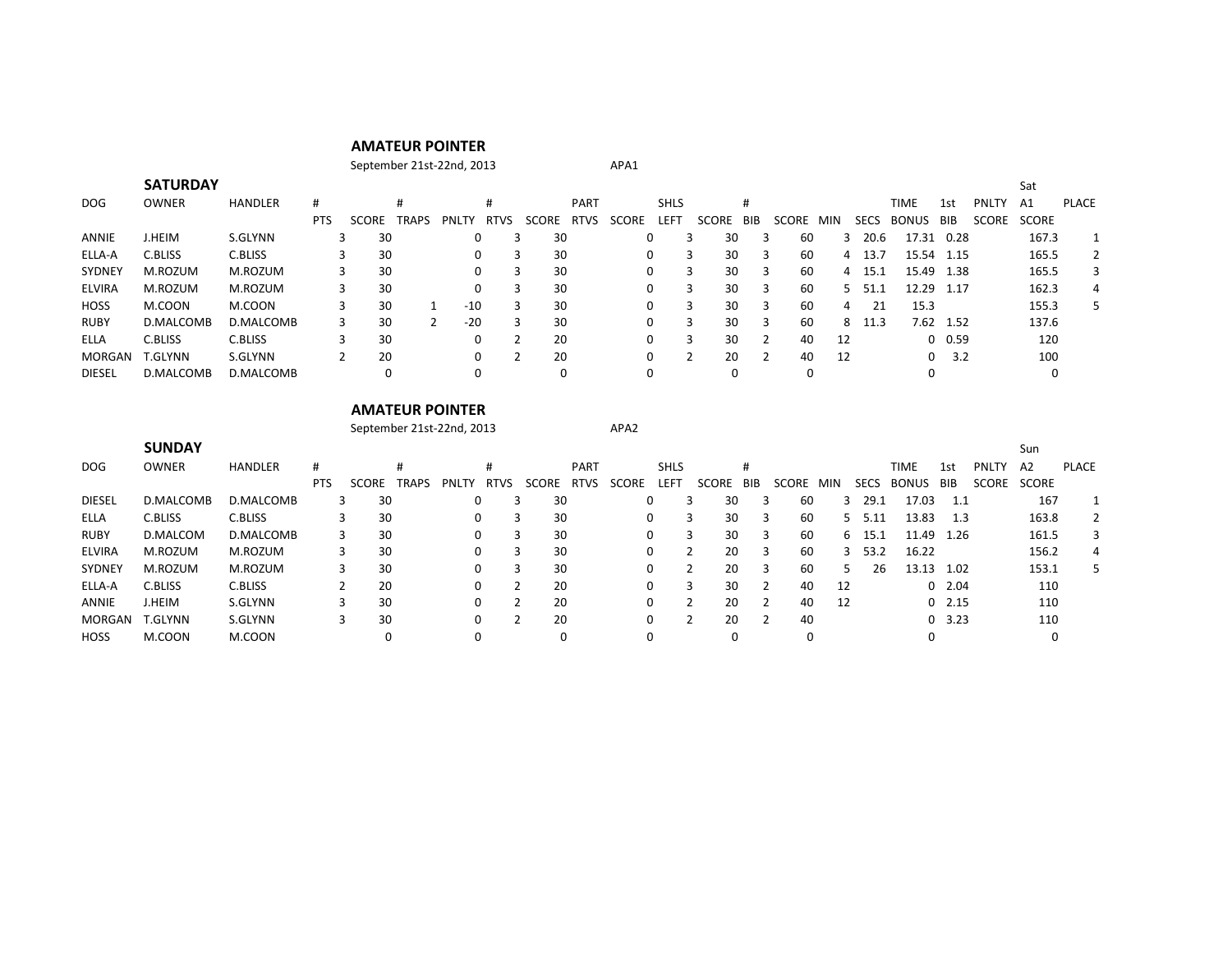## **AMATEUR POINTER**

September 21st-22nd, 2013

|  | APA1 |
|--|------|
|  |      |

|               | <b>SATURDAY</b> |                |            |       |              |              |             |       |             |          |             |         |     |              |     |             |              |               |              | Sat          |              |
|---------------|-----------------|----------------|------------|-------|--------------|--------------|-------------|-------|-------------|----------|-------------|---------|-----|--------------|-----|-------------|--------------|---------------|--------------|--------------|--------------|
| DOG           | OWNER           | <b>HANDLER</b> | #          |       | #            |              | #           |       | <b>PART</b> |          | <b>SHLS</b> |         | #   |              |     |             | TIME         | 1st           | <b>PNLTY</b> | A1           | <b>PLACE</b> |
|               |                 |                | <b>PTS</b> | SCORE | <b>TRAPS</b> | <b>PNLTY</b> | <b>RTVS</b> | SCORE | <b>RTVS</b> | SCORE    | <b>LEFT</b> | SCORE   | BIB | <b>SCORE</b> | MIN | <b>SECS</b> | <b>BONUS</b> | <b>BIB</b>    | <b>SCORE</b> | <b>SCORE</b> |              |
| ANNIE         | J.HEIM          | S.GLYNN        |            | 30    |              | 0            |             | 30    |             | $\Omega$ |             | 30      | 3   | 60           |     | 20.6<br>3   | 17.31        | 0.28          |              | 167.3        |              |
| ELLA-A        | C.BLISS         | C.BLISS        |            | 30    |              | 0            |             | 30    |             | 0        |             | 30      | 3   | 60           |     | 13.7<br>4   | 15.54 1.15   |               |              | 165.5        | 2            |
| <b>SYDNEY</b> | M.ROZUM         | M.ROZUM        |            | 30    |              | 0            |             | 30    |             | $\Omega$ |             | 30      | 3   | 60           |     | 15.1<br>4   | 15.49 1.38   |               |              | 165.5        | 3            |
| <b>ELVIRA</b> | M.ROZUM         | M.ROZUM        |            | 30    |              | 0            |             | 30    |             | $\Omega$ |             | 30<br>3 | 3   | 60           |     | 5.<br>51.1  | 12.29        | - 1.17        |              | 162.3        | 4            |
| <b>HOSS</b>   | M.COON          | M.COON         |            | 30    |              | $-10$        |             | 30    |             | $\Omega$ |             | 30      | 3   | 60           | 4   | 21          | 15.3         |               |              | 155.3        | 5            |
| <b>RUBY</b>   | D.MALCOMB       | D.MALCOMB      |            | 30    | າ            | $-20$        |             | 30    |             | $\Omega$ |             | 30      | 3   | 60           | 8   | 11.3        | 7.62         | 1.52          |              | 137.6        |              |
| ELLA          | C.BLISS         | C.BLISS        |            | 30    |              | 0            |             | 20    |             | 0        |             | 30      |     | 40           | 12  |             |              | $0\quad 0.59$ |              | 120          |              |
| <b>MORGAN</b> | T.GLYNN         | S.GLYNN        |            | 20    |              | 0            |             | 20    |             | $\Omega$ |             | 20      |     | 40           | -12 |             | 0            | 3.2           |              | 100          |              |
| <b>DIESEL</b> | D.MALCOMB       | D.MALCOMB      |            | 0     |              | 0            |             | 0     |             | $\Omega$ |             |         |     |              |     |             | 0            |               |              |              |              |

## **AMATEUR POINTER**

September 21st-22nd, 2013 APA2

|               | <b>SUNDAY</b>  |                |            |          |              |       |             |       |      |          |             |         |      |       |     |             |              |               |              | Sun            |       |
|---------------|----------------|----------------|------------|----------|--------------|-------|-------------|-------|------|----------|-------------|---------|------|-------|-----|-------------|--------------|---------------|--------------|----------------|-------|
| DOG           | <b>OWNER</b>   | <b>HANDLER</b> | #          |          |              |       |             |       | PART |          | <b>SHLS</b> |         | #    |       |     |             | TIME         | 1st           | <b>PNLTY</b> | A <sub>2</sub> | PLACE |
|               |                |                | <b>PTS</b> | SCORE    | <b>TRAPS</b> | PNLTY | <b>RTVS</b> | SCORE | RTVS | SCORE    | LEFT        | SCORE   | BIB. | SCORE | MIN | <b>SECS</b> | <b>BONUS</b> | BIB           | <b>SCORE</b> | <b>SCORE</b>   |       |
| <b>DIESEL</b> | D.MALCOMB      | D.MALCOMB      |            | 30<br>3. |              | 0     |             | 30    |      | 0        |             | 30      | 3    | 60    |     | 29.1<br>3   | 17.03        | 1.1           |              | 167            |       |
| ELLA          | C.BLISS        | C.BLISS        |            | 30       |              | 0     |             | 30    |      |          | 0           | 30<br>3 |      | 60    |     | 5.11<br>5.  | 13.83        | 1.3           |              | 163.8          | 2     |
| <b>RUBY</b>   | D.MALCOM       | D.MALCOMB      |            | 30       |              | 0     |             | 30    |      |          | 0           | 30      |      | 60    |     | 15.7<br>6.  | 11.49        | 1.26          |              | 161.5          | 3     |
| <b>ELVIRA</b> | M.ROZUM        | M.ROZUM        |            | 30       |              | 0     |             | 30    |      | 0        |             | 20      | 3    | 60    |     | 53.2<br>3   | 16.22        |               |              | 156.2          | 4     |
| SYDNEY        | M.ROZUM        | M.ROZUM        |            | 30       |              | 0     |             | 30    |      |          | 0           | 20      |      | 60    |     | 26          | 13.13 1.02   |               |              | 153.1          | 5.    |
| ELLA-A        | C.BLISS        | C.BLISS        |            | 20       |              | 0     |             | 20    |      |          | 0           | 30<br>3 |      | 40    | 12  |             |              | $0\quad 2.04$ |              | 110            |       |
| ANNIE         | <b>J.HEIM</b>  | S.GLYNN        |            | 30       |              | 0     |             | 20    |      |          | 0           | 20      |      | 40    | 12  |             |              | $0$ 2.15      |              | 110            |       |
| <b>MORGAN</b> | <b>T.GLYNN</b> | S.GLYNN        |            | 30       |              | 0     |             | 20    |      |          | $\Omega$    | 20      |      | 40    |     |             |              | 0, 3.23       |              | 110            |       |
| <b>HOSS</b>   | M.COON         | M.COON         |            |          |              |       |             |       |      | $\Omega$ |             |         |      |       |     |             | 0            |               |              |                |       |